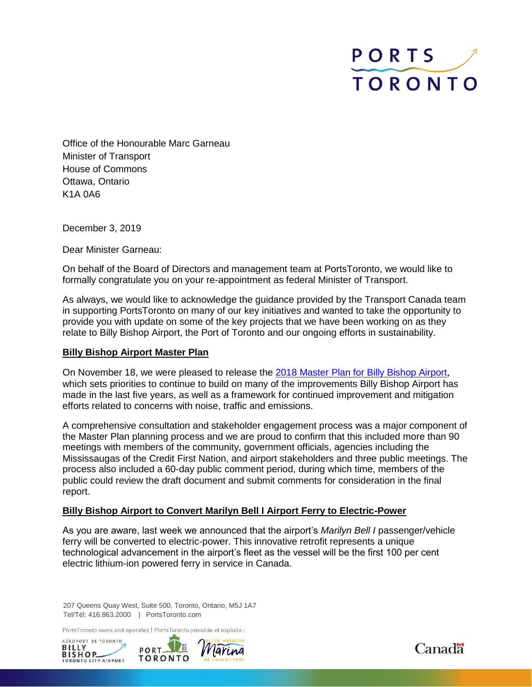

Office of the Honourable Marc Garneau Minister of Transport House of Commons Ottawa, Ontario K1A 0A6

December 3, 2019

Dear Minister Garneau:

On behalf of the Board of Directors and management team at PortsToronto, we would like to formally congratulate you on your re-appointment as federal Minister of Transport.

As always, we would like to acknowledge the guidance provided by the Transport Canada team in supporting PortsToronto on many of our key initiatives and wanted to take the opportunity to provide you with update on some of the key projects that we have been working on as they relate to Billy Bishop Airport, the Port of Toronto and our ongoing efforts in sustainability.

### **Billy Bishop Airport Master Plan**

On November 18, we were pleased to release the [2018 Master Plan for Billy Bishop Airport](https://www.billybishopairportmasterplan2018.com/), which sets priorities to continue to build on many of the improvements Billy Bishop Airport has made in the last five years, as well as a framework for continued improvement and mitigation efforts related to concerns with noise, traffic and emissions.

A comprehensive consultation and stakeholder engagement process was a major component of the Master Plan planning process and we are proud to confirm that this included more than 90 meetings with members of the community, government officials, agencies including the Mississaugas of the Credit First Nation, and airport stakeholders and three public meetings. The process also included a 60-day public comment period, during which time, members of the public could review the draft document and submit comments for consideration in the final report.

# **Billy Bishop Airport to Convert Marilyn Bell I Airport Ferry to Electric-Power**

As you are aware, last week we announced that the airport's *Marilyn Bell I* passenger/vehicle ferry will be converted to electric-power. This innovative retrofit represents a unique technological advancement in the airport's fleet as the vessel will be the first 100 per cent electric lithium-ion powered ferry in service in Canada.

207 Queens Quay West, Suite 500, Toronto, Ontario, M5J 1A7 Tel/Tél: 416.863.2000 | PortsToronto.com

PortsToronto owns and operates | PortsToronto possède et exploite :





**Canada**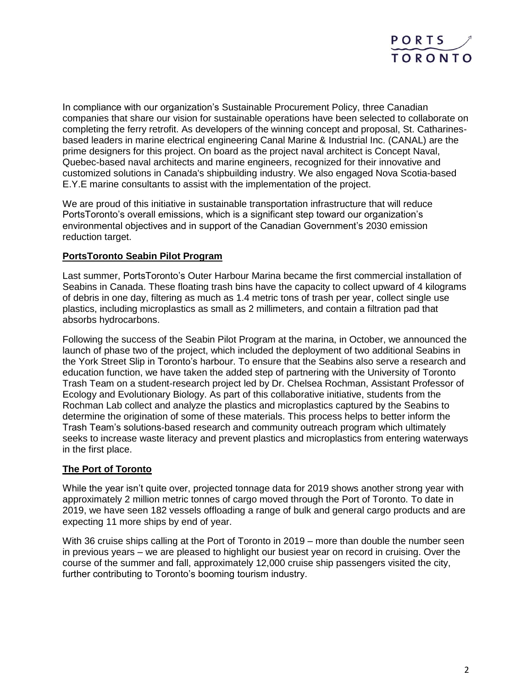

In compliance with our organization's Sustainable Procurement Policy, three Canadian companies that share our vision for sustainable operations have been selected to collaborate on completing the ferry retrofit. As developers of the winning concept and proposal, St. Catharinesbased leaders in marine electrical engineering Canal Marine & Industrial Inc. (CANAL) are the prime designers for this project. On board as the project naval architect is Concept Naval, Quebec-based naval architects and marine engineers, recognized for their innovative and customized solutions in Canada's shipbuilding industry. We also engaged Nova Scotia-based E.Y.E marine consultants to assist with the implementation of the project.

We are proud of this initiative in sustainable transportation infrastructure that will reduce PortsToronto's overall emissions, which is a significant step toward our organization's environmental objectives and in support of the Canadian Government's 2030 emission reduction target.

# **PortsToronto Seabin Pilot Program**

Last summer, PortsToronto's Outer Harbour Marina became the first commercial installation of Seabins in Canada. These floating trash bins have the capacity to collect upward of 4 kilograms of debris in one day, filtering as much as 1.4 metric tons of trash per year, collect single use plastics, including microplastics as small as 2 millimeters, and contain a filtration pad that absorbs hydrocarbons.

Following the success of the Seabin Pilot Program at the marina, in October, we announced the launch of phase two of the project, which included the deployment of two additional Seabins in the York Street Slip in Toronto's harbour. To ensure that the Seabins also serve a research and education function, we have taken the added step of partnering with the University of Toronto Trash Team on a student-research project led by Dr. Chelsea Rochman, Assistant Professor of Ecology and Evolutionary Biology. As part of this collaborative initiative, students from the Rochman Lab collect and analyze the plastics and microplastics captured by the Seabins to determine the origination of some of these materials. This process helps to better inform the Trash Team's solutions-based research and community outreach program which ultimately seeks to increase waste literacy and prevent plastics and microplastics from entering waterways in the first place.

# **The Port of Toronto**

While the year isn't quite over, projected tonnage data for 2019 shows another strong year with approximately 2 million metric tonnes of cargo moved through the Port of Toronto. To date in 2019, we have seen 182 vessels offloading a range of bulk and general cargo products and are expecting 11 more ships by end of year.

With 36 cruise ships calling at the Port of Toronto in 2019 – more than double the number seen in previous years – we are pleased to highlight our busiest year on record in cruising. Over the course of the summer and fall, approximately 12,000 cruise ship passengers visited the city, further contributing to Toronto's booming tourism industry.